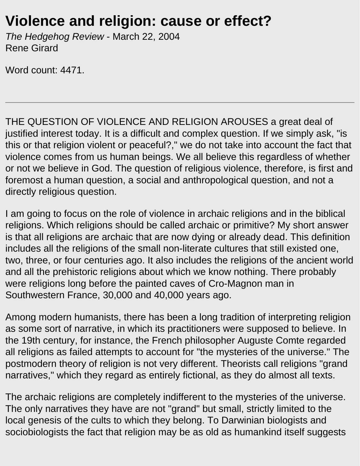# **Violence and religion: cause or effect?**

*The Hedgehog Review* - March 22, 2004 Rene Girard

Word count: 4471.

THE QUESTION OF VIOLENCE AND RELIGION AROUSES a great deal of justified interest today. It is a difficult and complex question. If we simply ask, "is this or that religion violent or peaceful?," we do not take into account the fact that violence comes from us human beings. We all believe this regardless of whether or not we believe in God. The question of religious violence, therefore, is first and foremost a human question, a social and anthropological question, and not a directly religious question.

I am going to focus on the role of violence in archaic religions and in the biblical religions. Which religions should be called archaic or primitive? My short answer is that all religions are archaic that are now dying or already dead. This definition includes all the religions of the small non-literate cultures that still existed one, two, three, or four centuries ago. It also includes the religions of the ancient world and all the prehistoric religions about which we know nothing. There probably were religions long before the painted caves of Cro-Magnon man in Southwestern France, 30,000 and 40,000 years ago.

Among modern humanists, there has been a long tradition of interpreting religion as some sort of narrative, in which its practitioners were supposed to believe. In the 19th century, for instance, the French philosopher Auguste Comte regarded all religions as failed attempts to account for "the mysteries of the universe." The postmodern theory of religion is not very different. Theorists call religions "grand narratives," which they regard as entirely fictional, as they do almost all texts.

The archaic religions are completely indifferent to the mysteries of the universe. The only narratives they have are not "grand" but small, strictly limited to the local genesis of the cults to which they belong. To Darwinian biologists and sociobiologists the fact that religion may be as old as humankind itself suggests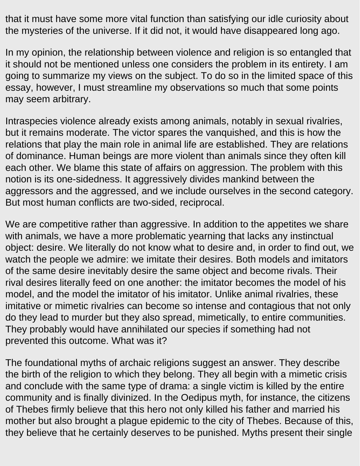that it must have some more vital function than satisfying our idle curiosity about the mysteries of the universe. If it did not, it would have disappeared long ago.

In my opinion, the relationship between violence and religion is so entangled that it should not be mentioned unless one considers the problem in its entirety. I am going to summarize my views on the subject. To do so in the limited space of this essay, however, I must streamline my observations so much that some points may seem arbitrary.

Intraspecies violence already exists among animals, notably in sexual rivalries, but it remains moderate. The victor spares the vanquished, and this is how the relations that play the main role in animal life are established. They are relations of dominance. Human beings are more violent than animals since they often kill each other. We blame this state of affairs on aggression. The problem with this notion is its one-sidedness. It aggressively divides mankind between the aggressors and the aggressed, and we include ourselves in the second category. But most human conflicts are two-sided, reciprocal.

We are competitive rather than aggressive. In addition to the appetites we share with animals, we have a more problematic yearning that lacks any instinctual object: desire. We literally do not know what to desire and, in order to find out, we watch the people we admire: we imitate their desires. Both models and imitators of the same desire inevitably desire the same object and become rivals. Their rival desires literally feed on one another: the imitator becomes the model of his model, and the model the imitator of his imitator. Unlike animal rivalries, these imitative or mimetic rivalries can become so intense and contagious that not only do they lead to murder but they also spread, mimetically, to entire communities. They probably would have annihilated our species if something had not prevented this outcome. What was it?

The foundational myths of archaic religions suggest an answer. They describe the birth of the religion to which they belong. They all begin with a mimetic crisis and conclude with the same type of drama: a single victim is killed by the entire community and is finally divinized. In the Oedipus myth, for instance, the citizens of Thebes firmly believe that this hero not only killed his father and married his mother but also brought a plague epidemic to the city of Thebes. Because of this, they believe that he certainly deserves to be punished. Myths present their single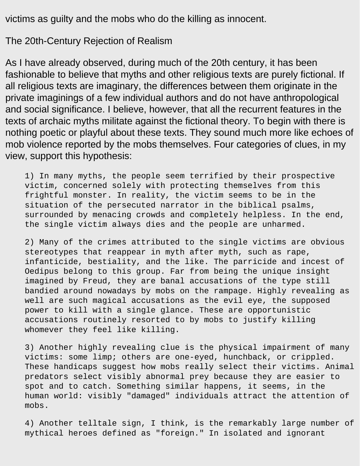victims as guilty and the mobs who do the killing as innocent.

The 20th-Century Rejection of Realism

As I have already observed, during much of the 20th century, it has been fashionable to believe that myths and other religious texts are purely fictional. If all religious texts are imaginary, the differences between them originate in the private imaginings of a few individual authors and do not have anthropological and social significance. I believe, however, that all the recurrent features in the texts of archaic myths militate against the fictional theory. To begin with there is nothing poetic or playful about these texts. They sound much more like echoes of mob violence reported by the mobs themselves. Four categories of clues, in my view, support this hypothesis:

 1) In many myths, the people seem terrified by their prospective victim, concerned solely with protecting themselves from this frightful monster. In reality, the victim seems to be in the situation of the persecuted narrator in the biblical psalms, surrounded by menacing crowds and completely helpless. In the end, the single victim always dies and the people are unharmed.

 2) Many of the crimes attributed to the single victims are obvious stereotypes that reappear in myth after myth, such as rape, infanticide, bestiality, and the like. The parricide and incest of Oedipus belong to this group. Far from being the unique insight imagined by Freud, they are banal accusations of the type still bandied around nowadays by mobs on the rampage. Highly revealing as well are such magical accusations as the evil eye, the supposed power to kill with a single glance. These are opportunistic accusations routinely resorted to by mobs to justify killing whomever they feel like killing.

 3) Another highly revealing clue is the physical impairment of many victims: some limp; others are one-eyed, hunchback, or crippled. These handicaps suggest how mobs really select their victims. Animal predators select visibly abnormal prey because they are easier to spot and to catch. Something similar happens, it seems, in the human world: visibly "damaged" individuals attract the attention of mobs.

 4) Another telltale sign, I think, is the remarkably large number of mythical heroes defined as "foreign." In isolated and ignorant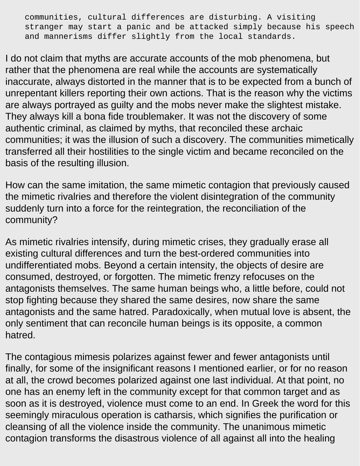communities, cultural differences are disturbing. A visiting stranger may start a panic and be attacked simply because his speech and mannerisms differ slightly from the local standards.

I do not claim that myths are accurate accounts of the mob phenomena, but rather that the phenomena are real while the accounts are systematically inaccurate, always distorted in the manner that is to be expected from a bunch of unrepentant killers reporting their own actions. That is the reason why the victims are always portrayed as guilty and the mobs never make the slightest mistake. They always kill a bona fide troublemaker. It was not the discovery of some authentic criminal, as claimed by myths, that reconciled these archaic communities; it was the illusion of such a discovery. The communities mimetically transferred all their hostilities to the single victim and became reconciled on the basis of the resulting illusion.

How can the same imitation, the same mimetic contagion that previously caused the mimetic rivalries and therefore the violent disintegration of the community suddenly turn into a force for the reintegration, the reconciliation of the community?

As mimetic rivalries intensify, during mimetic crises, they gradually erase all existing cultural differences and turn the best-ordered communities into undifferentiated mobs. Beyond a certain intensity, the objects of desire are consumed, destroyed, or forgotten. The mimetic frenzy refocuses on the antagonists themselves. The same human beings who, a little before, could not stop fighting because they shared the same desires, now share the same antagonists and the same hatred. Paradoxically, when mutual love is absent, the only sentiment that can reconcile human beings is its opposite, a common hatred.

The contagious mimesis polarizes against fewer and fewer antagonists until finally, for some of the insignificant reasons I mentioned earlier, or for no reason at all, the crowd becomes polarized against one last individual. At that point, no one has an enemy left in the community except for that common target and as soon as it is destroyed, violence must come to an end. In Greek the word for this seemingly miraculous operation is catharsis, which signifies the purification or cleansing of all the violence inside the community. The unanimous mimetic contagion transforms the disastrous violence of all against all into the healing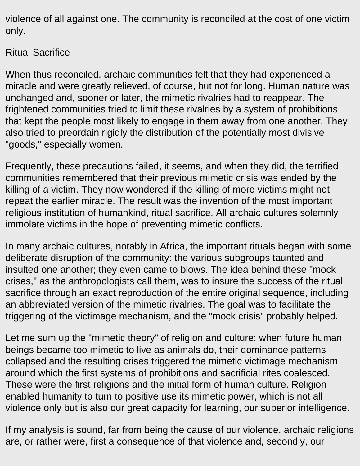violence of all against one. The community is reconciled at the cost of one victim only.

### Ritual Sacrifice

When thus reconciled, archaic communities felt that they had experienced a miracle and were greatly relieved, of course, but not for long. Human nature was unchanged and, sooner or later, the mimetic rivalries had to reappear. The frightened communities tried to limit these rivalries by a system of prohibitions that kept the people most likely to engage in them away from one another. They also tried to preordain rigidly the distribution of the potentially most divisive "goods," especially women.

Frequently, these precautions failed, it seems, and when they did, the terrified communities remembered that their previous mimetic crisis was ended by the killing of a victim. They now wondered if the killing of more victims might not repeat the earlier miracle. The result was the invention of the most important religious institution of humankind, ritual sacrifice. All archaic cultures solemnly immolate victims in the hope of preventing mimetic conflicts.

In many archaic cultures, notably in Africa, the important rituals began with some deliberate disruption of the community: the various subgroups taunted and insulted one another; they even came to blows. The idea behind these "mock crises," as the anthropologists call them, was to insure the success of the ritual sacrifice through an exact reproduction of the entire original sequence, including an abbreviated version of the mimetic rivalries. The goal was to facilitate the triggering of the victimage mechanism, and the "mock crisis" probably helped.

Let me sum up the "mimetic theory" of religion and culture: when future human beings became too mimetic to live as animals do, their dominance patterns collapsed and the resulting crises triggered the mimetic victimage mechanism around which the first systems of prohibitions and sacrificial rites coalesced. These were the first religions and the initial form of human culture. Religion enabled humanity to turn to positive use its mimetic power, which is not all violence only but is also our great capacity for learning, our superior intelligence.

If my analysis is sound, far from being the cause of our violence, archaic religions are, or rather were, first a consequence of that violence and, secondly, our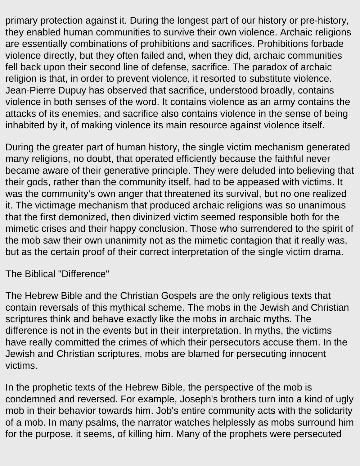primary protection against it. During the longest part of our history or pre-history, they enabled human communities to survive their own violence. Archaic religions are essentially combinations of prohibitions and sacrifices. Prohibitions forbade violence directly, but they often failed and, when they did, archaic communities fell back upon their second line of defense, sacrifice. The paradox of archaic religion is that, in order to prevent violence, it resorted to substitute violence. Jean-Pierre Dupuy has observed that sacrifice, understood broadly, contains violence in both senses of the word. It contains violence as an army contains the attacks of its enemies, and sacrifice also contains violence in the sense of being inhabited by it, of making violence its main resource against violence itself.

During the greater part of human history, the single victim mechanism generated many religions, no doubt, that operated efficiently because the faithful never became aware of their generative principle. They were deluded into believing that their gods, rather than the community itself, had to be appeased with victims. It was the community's own anger that threatened its survival, but no one realized it. The victimage mechanism that produced archaic religions was so unanimous that the first demonized, then divinized victim seemed responsible both for the mimetic crises and their happy conclusion. Those who surrendered to the spirit of the mob saw their own unanimity not as the mimetic contagion that it really was, but as the certain proof of their correct interpretation of the single victim drama.

The Biblical "Difference"

The Hebrew Bible and the Christian Gospels are the only religious texts that contain reversals of this mythical scheme. The mobs in the Jewish and Christian scriptures think and behave exactly like the mobs in archaic myths. The difference is not in the events but in their interpretation. In myths, the victims have really committed the crimes of which their persecutors accuse them. In the Jewish and Christian scriptures, mobs are blamed for persecuting innocent victims.

In the prophetic texts of the Hebrew Bible, the perspective of the mob is condemned and reversed. For example, Joseph's brothers turn into a kind of ugly mob in their behavior towards him. Job's entire community acts with the solidarity of a mob. In many psalms, the narrator watches helplessly as mobs surround him for the purpose, it seems, of killing him. Many of the prophets were persecuted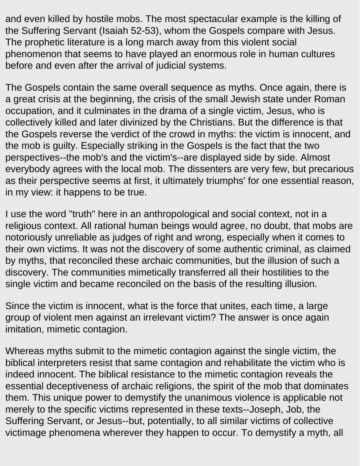and even killed by hostile mobs. The most spectacular example is the killing of the Suffering Servant (Isaiah 52-53), whom the Gospels compare with Jesus. The prophetic literature is a long march away from this violent social phenomenon that seems to have played an enormous role in human cultures before and even after the arrival of judicial systems.

The Gospels contain the same overall sequence as myths. Once again, there is a great crisis at the beginning, the crisis of the small Jewish state under Roman occupation, and it culminates in the drama of a single victim, Jesus, who is collectively killed and later divinized by the Christians. But the difference is that the Gospels reverse the verdict of the crowd in myths: the victim is innocent, and the mob is guilty. Especially striking in the Gospels is the fact that the two perspectives--the mob's and the victim's--are displayed side by side. Almost everybody agrees with the local mob. The dissenters are very few, but precarious as their perspective seems at first, it ultimately triumphs' for one essential reason, in my view: it happens to be true.

I use the word "truth" here in an anthropological and social context, not in a religious context. All rational human beings would agree, no doubt, that mobs are notoriously unreliable as judges of right and wrong, especially when it comes to their own victims. It was not the discovery of some authentic criminal, as claimed by myths, that reconciled these archaic communities, but the illusion of such a discovery. The communities mimetically transferred all their hostilities to the single victim and became reconciled on the basis of the resulting illusion.

Since the victim is innocent, what is the force that unites, each time, a large group of violent men against an irrelevant victim? The answer is once again imitation, mimetic contagion.

Whereas myths submit to the mimetic contagion against the single victim, the biblical interpreters resist that same contagion and rehabilitate the victim who is indeed innocent. The biblical resistance to the mimetic contagion reveals the essential deceptiveness of archaic religions, the spirit of the mob that dominates them. This unique power to demystify the unanimous violence is applicable not merely to the specific victims represented in these texts--Joseph, Job, the Suffering Servant, or Jesus--but, potentially, to all similar victims of collective victimage phenomena wherever they happen to occur. To demystify a myth, all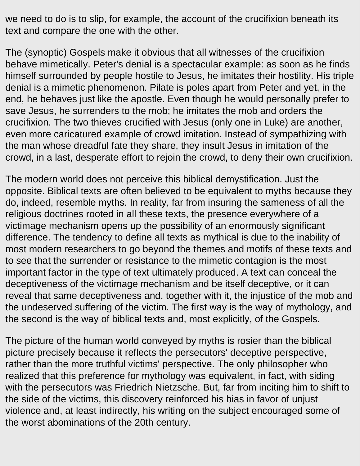we need to do is to slip, for example, the account of the crucifixion beneath its text and compare the one with the other.

The (synoptic) Gospels make it obvious that all witnesses of the crucifixion behave mimetically. Peter's denial is a spectacular example: as soon as he finds himself surrounded by people hostile to Jesus, he imitates their hostility. His triple denial is a mimetic phenomenon. Pilate is poles apart from Peter and yet, in the end, he behaves just like the apostle. Even though he would personally prefer to save Jesus, he surrenders to the mob; he imitates the mob and orders the crucifixion. The two thieves crucified with Jesus (only one in Luke) are another, even more caricatured example of crowd imitation. Instead of sympathizing with the man whose dreadful fate they share, they insult Jesus in imitation of the crowd, in a last, desperate effort to rejoin the crowd, to deny their own crucifixion.

The modern world does not perceive this biblical demystification. Just the opposite. Biblical texts are often believed to be equivalent to myths because they do, indeed, resemble myths. In reality, far from insuring the sameness of all the religious doctrines rooted in all these texts, the presence everywhere of a victimage mechanism opens up the possibility of an enormously significant difference. The tendency to define all texts as mythical is due to the inability of most modern researchers to go beyond the themes and motifs of these texts and to see that the surrender or resistance to the mimetic contagion is the most important factor in the type of text ultimately produced. A text can conceal the deceptiveness of the victimage mechanism and be itself deceptive, or it can reveal that same deceptiveness and, together with it, the injustice of the mob and the undeserved suffering of the victim. The first way is the way of mythology, and the second is the way of biblical texts and, most explicitly, of the Gospels.

The picture of the human world conveyed by myths is rosier than the biblical picture precisely because it reflects the persecutors' deceptive perspective, rather than the more truthful victims' perspective. The only philosopher who realized that this preference for mythology was equivalent, in fact, with siding with the persecutors was Friedrich Nietzsche. But, far from inciting him to shift to the side of the victims, this discovery reinforced his bias in favor of unjust violence and, at least indirectly, his writing on the subject encouraged some of the worst abominations of the 20th century.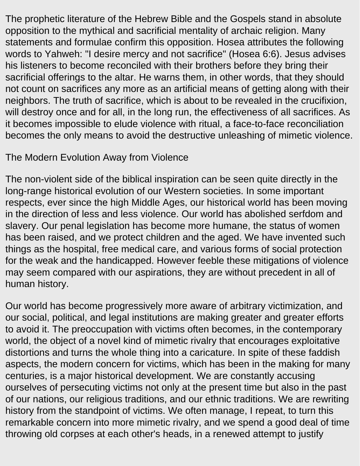The prophetic literature of the Hebrew Bible and the Gospels stand in absolute opposition to the mythical and sacrificial mentality of archaic religion. Many statements and formulae confirm this opposition. Hosea attributes the following words to Yahweh: "I desire mercy and not sacrifice" (Hosea 6:6). Jesus advises his listeners to become reconciled with their brothers before they bring their sacrificial offerings to the altar. He warns them, in other words, that they should not count on sacrifices any more as an artificial means of getting along with their neighbors. The truth of sacrifice, which is about to be revealed in the crucifixion, will destroy once and for all, in the long run, the effectiveness of all sacrifices. As it becomes impossible to elude violence with ritual, a face-to-face reconciliation becomes the only means to avoid the destructive unleashing of mimetic violence.

#### The Modern Evolution Away from Violence

The non-violent side of the biblical inspiration can be seen quite directly in the long-range historical evolution of our Western societies. In some important respects, ever since the high Middle Ages, our historical world has been moving in the direction of less and less violence. Our world has abolished serfdom and slavery. Our penal legislation has become more humane, the status of women has been raised, and we protect children and the aged. We have invented such things as the hospital, free medical care, and various forms of social protection for the weak and the handicapped. However feeble these mitigations of violence may seem compared with our aspirations, they are without precedent in all of human history.

Our world has become progressively more aware of arbitrary victimization, and our social, political, and legal institutions are making greater and greater efforts to avoid it. The preoccupation with victims often becomes, in the contemporary world, the object of a novel kind of mimetic rivalry that encourages exploitative distortions and turns the whole thing into a caricature. In spite of these faddish aspects, the modern concern for victims, which has been in the making for many centuries, is a major historical development. We are constantly accusing ourselves of persecuting victims not only at the present time but also in the past of our nations, our religious traditions, and our ethnic traditions. We are rewriting history from the standpoint of victims. We often manage, I repeat, to turn this remarkable concern into more mimetic rivalry, and we spend a good deal of time throwing old corpses at each other's heads, in a renewed attempt to justify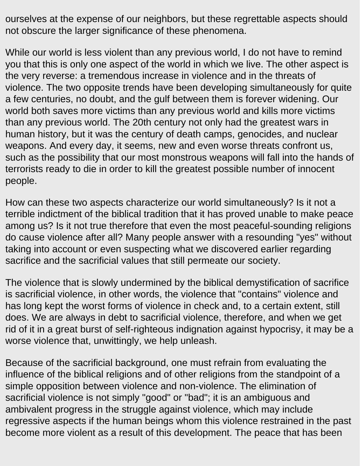ourselves at the expense of our neighbors, but these regrettable aspects should not obscure the larger significance of these phenomena.

While our world is less violent than any previous world, I do not have to remind you that this is only one aspect of the world in which we live. The other aspect is the very reverse: a tremendous increase in violence and in the threats of violence. The two opposite trends have been developing simultaneously for quite a few centuries, no doubt, and the gulf between them is forever widening. Our world both saves more victims than any previous world and kills more victims than any previous world. The 20th century not only had the greatest wars in human history, but it was the century of death camps, genocides, and nuclear weapons. And every day, it seems, new and even worse threats confront us, such as the possibility that our most monstrous weapons will fall into the hands of terrorists ready to die in order to kill the greatest possible number of innocent people.

How can these two aspects characterize our world simultaneously? Is it not a terrible indictment of the biblical tradition that it has proved unable to make peace among us? Is it not true therefore that even the most peaceful-sounding religions do cause violence after all? Many people answer with a resounding "yes" without taking into account or even suspecting what we discovered earlier regarding sacrifice and the sacrificial values that still permeate our society.

The violence that is slowly undermined by the biblical demystification of sacrifice is sacrificial violence, in other words, the violence that "contains" violence and has long kept the worst forms of violence in check and, to a certain extent, still does. We are always in debt to sacrificial violence, therefore, and when we get rid of it in a great burst of self-righteous indignation against hypocrisy, it may be a worse violence that, unwittingly, we help unleash.

Because of the sacrificial background, one must refrain from evaluating the influence of the biblical religions and of other religions from the standpoint of a simple opposition between violence and non-violence. The elimination of sacrificial violence is not simply "good" or "bad"; it is an ambiguous and ambivalent progress in the struggle against violence, which may include regressive aspects if the human beings whom this violence restrained in the past become more violent as a result of this development. The peace that has been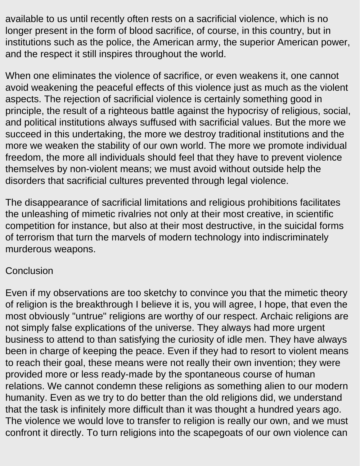available to us until recently often rests on a sacrificial violence, which is no longer present in the form of blood sacrifice, of course, in this country, but in institutions such as the police, the American army, the superior American power, and the respect it still inspires throughout the world.

When one eliminates the violence of sacrifice, or even weakens it, one cannot avoid weakening the peaceful effects of this violence just as much as the violent aspects. The rejection of sacrificial violence is certainly something good in principle, the result of a righteous battle against the hypocrisy of religious, social, and political institutions always suffused with sacrificial values. But the more we succeed in this undertaking, the more we destroy traditional institutions and the more we weaken the stability of our own world. The more we promote individual freedom, the more all individuals should feel that they have to prevent violence themselves by non-violent means; we must avoid without outside help the disorders that sacrificial cultures prevented through legal violence.

The disappearance of sacrificial limitations and religious prohibitions facilitates the unleashing of mimetic rivalries not only at their most creative, in scientific competition for instance, but also at their most destructive, in the suicidal forms of terrorism that turn the marvels of modern technology into indiscriminately murderous weapons.

#### **Conclusion**

Even if my observations are too sketchy to convince you that the mimetic theory of religion is the breakthrough I believe it is, you will agree, I hope, that even the most obviously "untrue" religions are worthy of our respect. Archaic religions are not simply false explications of the universe. They always had more urgent business to attend to than satisfying the curiosity of idle men. They have always been in charge of keeping the peace. Even if they had to resort to violent means to reach their goal, these means were not really their own invention; they were provided more or less ready-made by the spontaneous course of human relations. We cannot condemn these religions as something alien to our modern humanity. Even as we try to do better than the old religions did, we understand that the task is infinitely more difficult than it was thought a hundred years ago. The violence we would love to transfer to religion is really our own, and we must confront it directly. To turn religions into the scapegoats of our own violence can